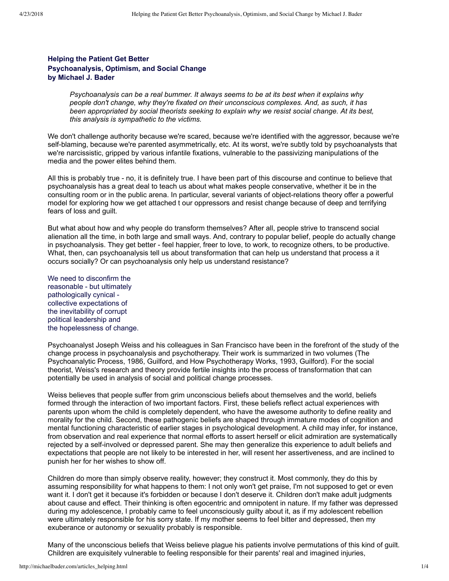## **Helping the Patient Get Better Psychoanalysis, Optimism, and Social Change by Michael J. Bader**

*Psychoanalysis can be a real bummer. It always seems to be at its best when it explains why people don't change, why they're fixated on their unconscious complexes. And, as such, it has been appropriated by social theorists seeking to explain why we resist social change. At its best, this analysis is sympathetic to the victims.*

We don't challenge authority because we're scared, because we're identified with the aggressor, because we're self-blaming, because we're parented asymmetrically, etc. At its worst, we're subtly told by psychoanalysts that we're narcissistic, gripped by various infantile fixations, vulnerable to the passivizing manipulations of the media and the power elites behind them.

All this is probably true - no, it is definitely true. I have been part of this discourse and continue to believe that psychoanalysis has a great deal to teach us about what makes people conservative, whether it be in the consulting room or in the public arena. In particular, several variants of object-relations theory offer a powerful model for exploring how we get attached t our oppressors and resist change because of deep and terrifying fears of loss and guilt.

But what about how and why people do transform themselves? After all, people strive to transcend social alienation all the time, in both large and small ways. And, contrary to popular belief, people do actually change in psychoanalysis. They get better feel happier, freer to love, to work, to recognize others, to be productive. What, then, can psychoanalysis tell us about transformation that can help us understand that process a it occurs socially? Or can psychoanalysis only help us understand resistance?

We need to disconfirm the reasonable - but ultimately pathologically cynical collective expectations of the inevitability of corrupt political leadership and the hopelessness of change.

Psychoanalyst Joseph Weiss and his colleagues in San Francisco have been in the forefront of the study of the change process in psychoanalysis and psychotherapy. Their work is summarized in two volumes (The Psychoanalytic Process, 1986, Guilford, and How Psychotherapy Works, 1993, Guilford). For the social theorist, Weiss's research and theory provide fertile insights into the process of transformation that can potentially be used in analysis of social and political change processes.

Weiss believes that people suffer from grim unconscious beliefs about themselves and the world, beliefs formed through the interaction of two important factors. First, these beliefs reflect actual experiences with parents upon whom the child is completely dependent, who have the awesome authority to define reality and morality for the child. Second, these pathogenic beliefs are shaped through immature modes of cognition and mental functioning characteristic of earlier stages in psychological development. A child may infer, for instance, from observation and real experience that normal efforts to assert herself or elicit admiration are systematically rejected by a self-involved or depressed parent. She may then generalize this experience to adult beliefs and expectations that people are not likely to be interested in her, will resent her assertiveness, and are inclined to punish her for her wishes to show off.

Children do more than simply observe reality, however; they construct it. Most commonly, they do this by assuming responsibility for what happens to them: I not only won't get praise, I'm not supposed to get or even want it. I don't get it because it's forbidden or because I don't deserve it. Children don't make adult judgments about cause and effect. Their thinking is often egocentric and omnipotent in nature. If my father was depressed during my adolescence, I probably came to feel unconsciously guilty about it, as if my adolescent rebellion were ultimately responsible for his sorry state. If my mother seems to feel bitter and depressed, then my exuberance or autonomy or sexuality probably is responsible.

Many of the unconscious beliefs that Weiss believe plague his patients involve permutations of this kind of guilt. Children are exquisitely vulnerable to feeling responsible for their parents' real and imagined injuries,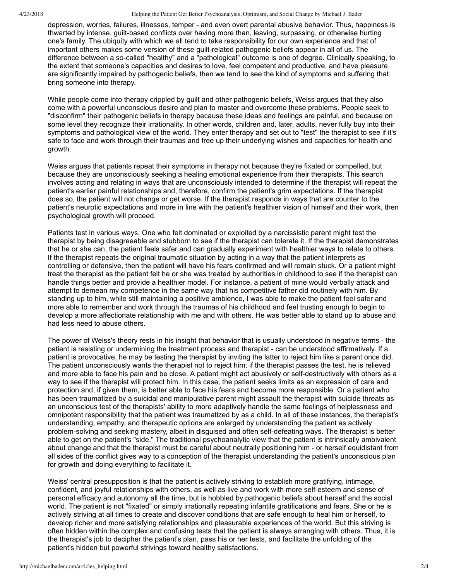4/23/2018 Helping the Patient Get Better Psychoanalysis, Optimism, and Social Change by Michael J. Bader

depression, worries, failures, illnesses, temper - and even overt parental abusive behavior. Thus, happiness is thwarted by intense, quilt-based conflicts over having more than, leaving, surpassing, or otherwise hurting one's family. The ubiquity with which we all tend to take responsibility for our own experience and that of important others makes some version of these quilt-related pathogenic beliefs appear in all of us. The difference between a so-called "healthy" and a "pathological" outcome is one of degree. Clinically speaking, to the extent that someone's capacities and desires to love, feel competent and productive, and have pleasure are significantly impaired by pathogenic beliefs, then we tend to see the kind of symptoms and suffering that bring someone into therapy.

While people come into therapy crippled by guilt and other pathogenic beliefs, Weiss argues that they also come with a powerful unconscious desire and plan to master and overcome these problems. People seek to "disconfirm" their pathogenic beliefs in therapy because these ideas and feelings are painful, and because on some level they recognize their irrationality. In other words, children and, later, adults, never fully buy into their symptoms and pathological view of the world. They enter therapy and set out to "test" the therapist to see if it's safe to face and work through their traumas and free up their underlying wishes and capacities for health and growth.

Weiss argues that patients repeat their symptoms in therapy not because they're fixated or compelled, but because they are unconsciously seeking a healing emotional experience from their therapists. This search involves acting and relating in ways that are unconsciously intended to determine if the therapist will repeat the patient's earlier painful relationships and, therefore, confirm the patient's grim expectations. If the therapist does so, the patient will not change or get worse. If the therapist responds in ways that are counter to the patient's neurotic expectations and more in line with the patient's healthier vision of himself and their work, then psychological growth will proceed.

Patients test in various ways. One who felt dominated or exploited by a narcissistic parent might test the therapist by being disagreeable and stubborn to see if the therapist can tolerate it. If the therapist demonstrates that he or she can, the patient feels safer and can gradually experiment with healthier ways to relate to others. If the therapist repeats the original traumatic situation by acting in a way that the patient interprets as controlling or defensive, then the patient will have his fears confirmed and will remain stuck. Or a patient might treat the therapist as the patient felt he or she was treated by authorities in childhood to see if the therapist can handle things better and provide a healthier model. For instance, a patient of mine would verbally attack and attempt to demean my competence in the same way that his competitive father did routinely with him. By standing up to him, while still maintaining a positive ambience, I was able to make the patient feel safer and more able to remember and work through the traumas of his childhood and feel trusting enough to begin to develop a more affectionate relationship with me and with others. He was better able to stand up to abuse and had less need to abuse others.

The power of Weiss's theory rests in his insight that behavior that is usually understood in negative terms - the patient is resisting or undermining the treatment process and therapist - can be understood affirmatively. If a patient is provocative, he may be testing the therapist by inviting the latter to reject him like a parent once did. The patient unconsciously wants the therapist not to reject him; if the therapist passes the test, he is relieved and more able to face his pain and be close. A patient might act abusively or self-destructively with others as a way to see if the therapist will protect him. In this case, the patient seeks limits as an expression of care and protection and, if given them, is better able to face his fears and become more responsible. Or a patient who has been traumatized by a suicidal and manipulative parent might assault the therapist with suicide threats as an unconscious test of the therapists' ability to more adaptively handle the same feelings of helplessness and omnipotent responsibility that the patient was traumatized by as a child. In all of these instances, the therapist's understanding, empathy, and therapeutic options are enlarged by understanding the patient as actively problem-solving and seeking mastery, albeit in disguised and often self-defeating ways. The therapist is better able to get on the patient's "side." The traditional psychoanalytic view that the patient is intrinsically ambivalent about change and that the therapist must be careful about neutrally positioning him - or herself equidistant from all sides of the conflict gives way to a conception of the therapist understanding the patient's unconscious plan for growth and doing everything to facilitate it.

Weiss' central presupposition is that the patient is actively striving to establish more gratifying, intimage, confident, and joyful relationships with others, as well as live and work with more self-esteem and sense of personal efficacy and autonomy all the time, but is hobbled by pathogenic beliefs about herself and the social world. The patient is not "fixated" or simply irrationally repeating infantile gratifications and fears. She or he is actively striving at all times to create and discover conditions that are safe enough to heal him or herself, to develop richer and more satisfying relationships and pleasurable experiences of the world. But this striving is often hidden within the complex and confusing tests that the patient is always arranging with others. Thus, it is the therapist's job to decipher the patient's plan, pass his or her tests, and facilitate the unfolding of the patient's hidden but powerful strivings toward healthy satisfactions.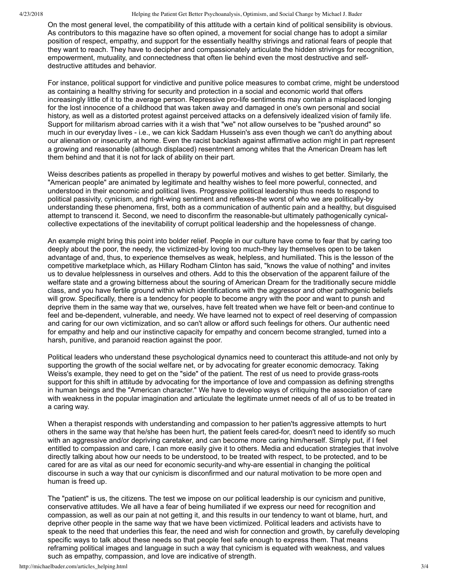4/23/2018 Helping the Patient Get Better Psychoanalysis, Optimism, and Social Change by Michael J. Bader

On the most general level, the compatibility of this attitude with a certain kind of political sensibility is obvious. As contributors to this magazine have so often opined, a movement for social change has to adopt a similar position of respect, empathy, and support for the essentially healthy strivings and rational fears of people that they want to reach. They have to decipher and compassionately articulate the hidden strivings for recognition, empowerment, mutuality, and connectedness that often lie behind even the most destructive and selfdestructive attitudes and behavior.

For instance, political support for vindictive and punitive police measures to combat crime, might be understood as containing a healthy striving for security and protection in a social and economic world that offers increasingly little of it to the average person. Repressive pro-life sentiments may contain a misplaced longing for the lost innocence of a childhood that was taken away and damaged in one's own personal and social history, as well as a distorted protest against perceived attacks on a defensively idealized vision of family life. Support for militarism abroad carries with it a wish that "we" not allow ourselves to be "pushed around" so much in our everyday lives i.e., we can kick Saddam Hussein's ass even though we can't do anything about our alienation or insecurity at home. Even the racist backlash against affirmative action might in part represent a growing and reasonable (although displaced) resentment among whites that the American Dream has left them behind and that it is not for lack of ability on their part.

Weiss describes patients as propelled in therapy by powerful motives and wishes to get better. Similarly, the "American people" are animated by legitimate and healthy wishes to feel more powerful, connected, and understood in their economic and political lives. Progressive political leadership thus needs to respond to political passivity, cynicism, and right-wing sentiment and reflexes-the worst of who we are politically-by understanding these phenomena, first, both as a communication of authentic pain and a healthy, but disguised attempt to transcend it. Second, we need to disconfirm the reasonable-but ultimately pathogenically cynicalcollective expectations of the inevitability of corrupt political leadership and the hopelessness of change.

An example might bring this point into bolder relief. People in our culture have come to fear that by caring too deeply about the poor, the needy, the victimized-by loving too much-they lay themselves open to be taken advantage of and, thus, to experience themselves as weak, helpless, and humiliated. This is the lesson of the competitive marketplace which, as Hillary Rodham Clinton has said, "knows the value of nothing" and invites us to devalue helplessness in ourselves and others. Add to this the observation of the apparent failure of the welfare state and a growing bitterness about the souring of American Dream for the traditionally secure middle class, and you have fertile ground within which identifications with the aggressor and other pathogenic beliefs will grow. Specifically, there is a tendency for people to become angry with the poor and want to punsh and deprive them in the same way that we, ourselves, have felt treated when we have felt or been-and continue to feel and be-dependent, vulnerable, and needy. We have learned not to expect of reel deserving of compassion and caring for our own victimization, and so can't allow or afford such feelings for others. Our authentic need for empathy and help and our instinctive capacity for empathy and concern become strangled, turned into a harsh, punitive, and paranoid reaction against the poor.

Political leaders who understand these psychological dynamics need to counteract this attitude-and not only by supporting the growth of the social welfare net, or by advocating for greater economic democracy. Taking Weiss's example, they need to get on the "side" of the patient. The rest of us need to provide grass-roots support for this shift in attitude by advocating for the importance of love and compassion as defining strengths in human beings and the "American character." We have to develop ways of critiquing the association of care with weakness in the popular imagination and articulate the legitimate unmet needs of all of us to be treated in a caring way.

When a therapist responds with understanding and compassion to her patien'ts aggressive attempts to hurt others in the same way that he/she has been hurt, the patient feels cared-for, doesn't need to identify so much with an aggressive and/or depriving caretaker, and can become more caring him/herself. Simply put, if I feel entitled to compassion and care, I can more easily give it to others. Media and education strategies that involve directly talking about how our needs to be understood, to be treated with respect, to be protected, and to be cared for are as vital as our need for economic security-and why-are essential in changing the political discourse in such a way that our cynicism is disconfirmed and our natural motivation to be more open and human is freed up.

The "patient" is us, the citizens. The test we impose on our political leadership is our cynicism and punitive, conservative attitudes. We all have a fear of being humiliated if we express our need for recognition and compassion, as well as our pain at not getting it, and this results in our tendency to want ot blame, hurt, and deprive other people in the same way that we have been victimized. Political leaders and activists have to speak to the need that underlies this fear, the need and wish for connection and growth, by carefully developing specific ways to talk about these needs so that people feel safe enough to express them. That means reframing political images and language in such a way that cynicism is equated with weakness, and values such as empathy, compassion, and love are indicative of strength.